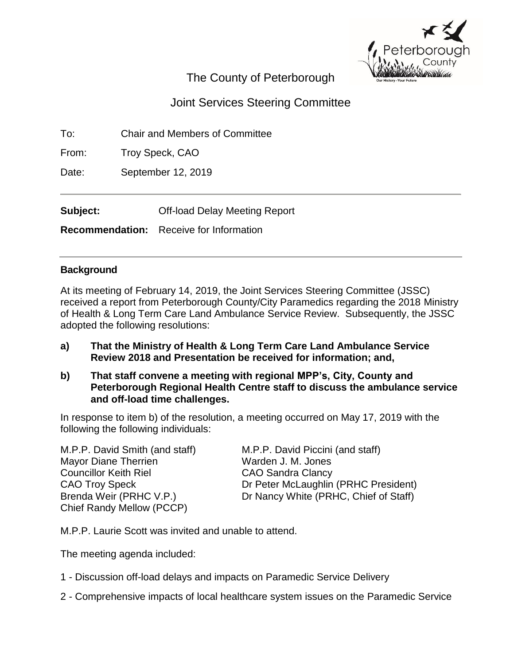

# The County of Peterborough

# Joint Services Steering Committee

To: Chair and Members of Committee

From: Troy Speck, CAO

Date: September 12, 2019

**Subject:** Off-load Delay Meeting Report

**Recommendation:** Receive for Information

## **Background**

At its meeting of February 14, 2019, the Joint Services Steering Committee (JSSC) received a report from Peterborough County/City Paramedics regarding the 2018 Ministry of Health & Long Term Care Land Ambulance Service Review. Subsequently, the JSSC adopted the following resolutions:

- **a) That the Ministry of Health & Long Term Care Land Ambulance Service Review 2018 and Presentation be received for information; and,**
- **b) That staff convene a meeting with regional MPP's, City, County and Peterborough Regional Health Centre staff to discuss the ambulance service and off-load time challenges.**

In response to item b) of the resolution, a meeting occurred on May 17, 2019 with the following the following individuals:

M.P.P. David Smith (and staff) M.P.P. David Piccini (and staff) Mayor Diane Therrien Warden J. M. Jones Councillor Keith Riel CAO Sandra Clancy Chief Randy Mellow (PCCP)

CAO Troy Speck Dr Peter McLaughlin (PRHC President) Brenda Weir (PRHC V.P.) Dr Nancy White (PRHC, Chief of Staff)

M.P.P. Laurie Scott was invited and unable to attend.

The meeting agenda included:

- 1 Discussion off-load delays and impacts on Paramedic Service Delivery
- 2 Comprehensive impacts of local healthcare system issues on the Paramedic Service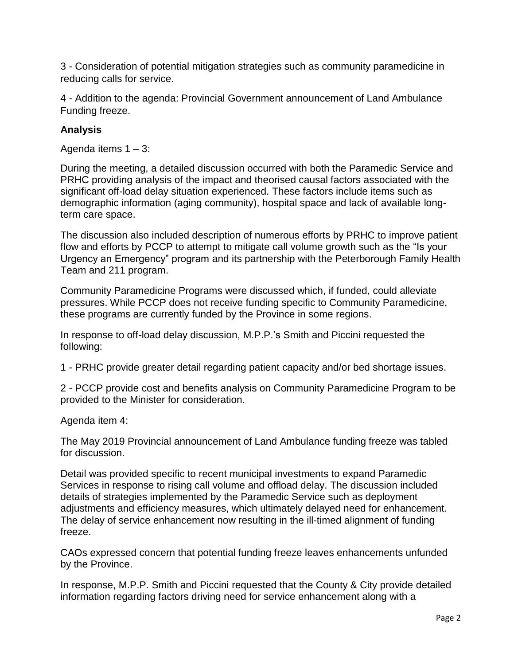3 - Consideration of potential mitigation strategies such as community paramedicine in reducing calls for service.

4 - Addition to the agenda: Provincial Government announcement of Land Ambulance Funding freeze.

# **Analysis**

Agenda items 1 – 3:

During the meeting, a detailed discussion occurred with both the Paramedic Service and PRHC providing analysis of the impact and theorised causal factors associated with the significant off-load delay situation experienced. These factors include items such as demographic information (aging community), hospital space and lack of available longterm care space.

The discussion also included description of numerous efforts by PRHC to improve patient flow and efforts by PCCP to attempt to mitigate call volume growth such as the "Is your Urgency an Emergency" program and its partnership with the Peterborough Family Health Team and 211 program.

Community Paramedicine Programs were discussed which, if funded, could alleviate pressures. While PCCP does not receive funding specific to Community Paramedicine, these programs are currently funded by the Province in some regions.

In response to off-load delay discussion, M.P.P.'s Smith and Piccini requested the following:

1 - PRHC provide greater detail regarding patient capacity and/or bed shortage issues.

2 - PCCP provide cost and benefits analysis on Community Paramedicine Program to be provided to the Minister for consideration.

Agenda item 4:

The May 2019 Provincial announcement of Land Ambulance funding freeze was tabled for discussion.

Detail was provided specific to recent municipal investments to expand Paramedic Services in response to rising call volume and offload delay. The discussion included details of strategies implemented by the Paramedic Service such as deployment adjustments and efficiency measures, which ultimately delayed need for enhancement. The delay of service enhancement now resulting in the ill-timed alignment of funding freeze.

CAOs expressed concern that potential funding freeze leaves enhancements unfunded by the Province.

In response, M.P.P. Smith and Piccini requested that the County & City provide detailed information regarding factors driving need for service enhancement along with a